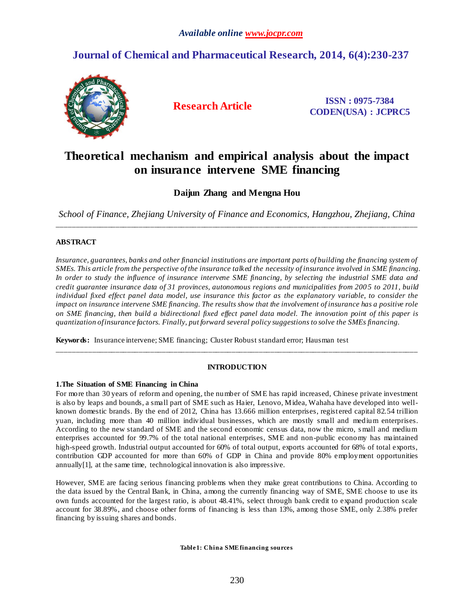# **Journal of Chemical and Pharmaceutical Research, 2014, 6(4):230-237**



**Research Article ISSN : 0975-7384 CODEN(USA) : JCPRC5**

# **Theoretical mechanism and empirical analysis about the impact on insurance intervene SME financing**

## **Daijun Zhang and Mengna Hou**

*School of Finance, Zhejiang University of Finance and Economics, Hangzhou, Zhejiang, China* \_\_\_\_\_\_\_\_\_\_\_\_\_\_\_\_\_\_\_\_\_\_\_\_\_\_\_\_\_\_\_\_\_\_\_\_\_\_\_\_\_\_\_\_\_\_\_\_\_\_\_\_\_\_\_\_\_\_\_\_\_\_\_\_\_\_\_\_\_\_\_\_\_\_\_\_\_\_\_\_\_\_\_\_\_\_\_\_\_\_\_\_\_

## **ABSTRACT**

*Insurance, guarantees, banks and other financial institutions are important parts of building the financing system of SMEs. This article from the perspective of the insurance talked the necessity of insurance involved in SME financing. In order to study the influence of insurance intervene SME financing, by selecting the industrial SME data and credit guarantee insurance data of 31 provinces, autonomous regions and municipalities from 200 5 to 2011, build individual fixed effect panel data model, use insurance this factor as the explanatory variable, to consider the impact on insurance intervene SME financing. The results show that the involvement of insurance has a positive role on SME financing, then build a bidirectional fixed effect panel data model. The innovation point of this paper is quantization of insurance factors. Finally, put forward several policy suggestions to solve the SMEs financing.*

**Keywords:** Insurance intervene; SME financing; Cluster Robust standard error; Hausman test

## **INTRODUCTION**

\_\_\_\_\_\_\_\_\_\_\_\_\_\_\_\_\_\_\_\_\_\_\_\_\_\_\_\_\_\_\_\_\_\_\_\_\_\_\_\_\_\_\_\_\_\_\_\_\_\_\_\_\_\_\_\_\_\_\_\_\_\_\_\_\_\_\_\_\_\_\_\_\_\_\_\_\_\_\_\_\_\_\_\_\_\_\_\_\_\_\_\_\_

## **1.The Situation of SME Financing in China**

For more than 30 years of reform and opening, the number of SME has rapid increased, Chinese private investment is also by leaps and bounds, a small part of SME such as Haier, Lenovo, Midea, Wahaha have developed into wellknown domestic brands. By the end of 2012, China has 13.666 million enterprises, registered capital 82.54 trillion yuan, including more than 40 million individual businesses, which are mostly small and medium enterprises. According to the new standard of SME and the second economic census data, now the micro, s mall and medium enterprises accounted for 99.7% of the total national enterprises, SME and non-public economy has maintained high-speed growth. Industrial output accounted for 60% of total output, exports accounted for 68% of total exports, contribution GDP accounted for more than 60% of GDP in China and provide 80% employment opportunities annually[1], at the same time, technological innovation is also impressive.

However, SME are facing serious financing problems when they make great contributions to China. According to the data issued by the Central Bank, in China, among the currently financing way of SME, SME choose to use its own funds accounted for the largest ratio, is about 48.41%, select through bank credit to expand production scale account for 38.89%, and choose other forms of financing is less than 13%, among those SME, only 2.38% prefer financing by issuing shares and bonds.

## **Table1: China SME financing sources**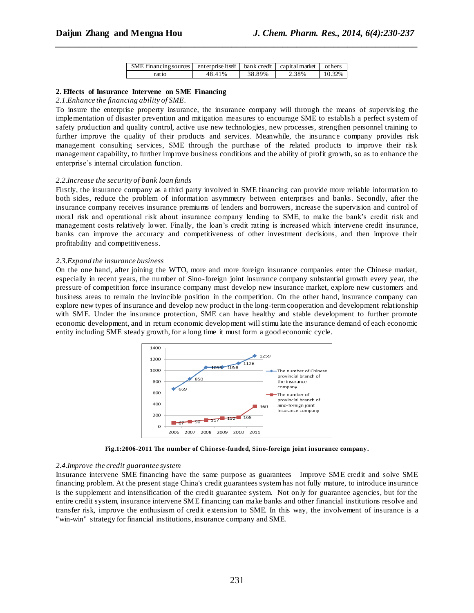| SME financing sources | enterprise itself | bank credit | capital market | others |
|-----------------------|-------------------|-------------|----------------|--------|
| rat 10                | 48.41%            | 38.89%      | 2.38%          | 10.32% |

*\_\_\_\_\_\_\_\_\_\_\_\_\_\_\_\_\_\_\_\_\_\_\_\_\_\_\_\_\_\_\_\_\_\_\_\_\_\_\_\_\_\_\_\_\_\_\_\_\_\_\_\_\_\_\_\_\_\_\_\_\_\_\_\_\_\_\_\_\_\_\_\_\_\_\_\_\_\_*

### **2. Effects of Insurance Intervene on SME Financing**

## *2.1.Enhance the financing ability of SME.*

To insure the enterprise property insurance, the insurance company will through the means of supervising the implementation of disaster prevention and mitigation measures to encourage SME to establish a perfect system of safety production and quality control, active use new technologies, new processes, strengthen personnel training to further improve the quality of their products and services. Meanwhile, the insurance company provides risk management consulting services, SME through the purchase of the related products to improve their risk management capability, to further improve business conditions and the ability of profit growth, so as to enhance the enterprise's internal circulation function.

## *2.2.Increase the security of bank loan funds*

Firstly, the insurance company as a third party involved in SME financing can provide more reliable information to both sides, reduce the problem of information asymmetry between enterprises and banks. Secondly, after the insurance company receives insurance premiums of lenders and borrowers, increase the supervision and control of moral risk and operational risk about insurance company lending to SME, to make the bank's credit risk and management costs relatively lower. Finally, the loan's credit rating is increased which intervene credit insurance, banks can improve the accuracy and competitiveness of other investment decisions, and then improve their profitability and competitiveness.

### *2.3.Expand the insurance business*

On the one hand, after joining the WTO, more and more foreign insurance companies enter the Chinese market, especially in recent years, the number of Sino-foreign joint insurance company substantial growth every year, the pressure of competition force insurance company must develop new insurance market, explore new customers and business areas to remain the invincible position in the competition. On the other hand, insurance company can explore new types of insurance and develop new product in the long-term cooperation and development relationship with SME. Under the insurance protection, SME can have healthy and stable development to further promote economic development, and in return economic development will stimu late the insurance demand of each economic entity including SME steady growth, for a long time it must form a good economic cycle.



**Fig.1:2006-2011 The number of Chinese -funded, Sino-foreign joint insurance company.**

#### *2.4.Improve the credit guarantee system*

Insurance intervene SME financing have the same purpose as guarantees—Improve SME credit and solve SME financing problem. At the present stage China's credit guarantees system has not fully mature, to introduce insurance is the supplement and intensification of the credit guarantee system. Not only for guarantee agencies, but for the entire credit system, insurance intervene SME financing can make banks and other financial institutions resolve and transfer risk, improve the enthusiasm of credit extension to SME. In this way, the involvement of insurance is a "win-win" strategy for financial institutions, insurance company and SME.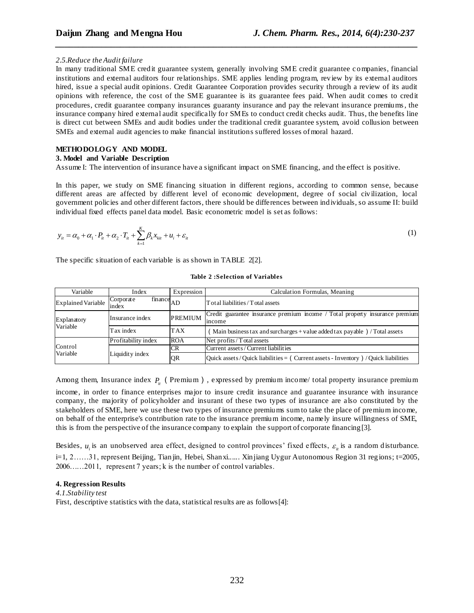## *2.5.Reduce the Audit failure*

In many traditional SME credit guarantee system, generally involving SME credit guarantee c ompanies, financial institutions and external auditors four relationships. SME applies lending program, review by its external auditors hired, issue a special audit opinions. Credit Guarantee Corporation provides security through a review of its audit opinions with reference, the cost of the SME guarantee is its guarantee fees paid. When audit comes to credit procedures, credit guarantee company insurances guaranty insurance and pay the relevant insurance premiums, the insurance company hired external audit specifically for SMEs to conduct credit checks audit. Thus, the benefits line is direct cut between SMEs and audit bodies under the traditional credit guarantee system, avoid collusion between SMEs and external audit agencies to make financial institutions suffered losses of moral hazard.

*\_\_\_\_\_\_\_\_\_\_\_\_\_\_\_\_\_\_\_\_\_\_\_\_\_\_\_\_\_\_\_\_\_\_\_\_\_\_\_\_\_\_\_\_\_\_\_\_\_\_\_\_\_\_\_\_\_\_\_\_\_\_\_\_\_\_\_\_\_\_\_\_\_\_\_\_\_\_*

## **METHODOLOGY AND MODEL**

## **3. Model and Variable Description**

Assume I: The intervention of insurance have a significant impact on SME financing, and the effect is positive.

In this paper, we study on SME financing situation in different regions, according to common sense, because different areas are affected by different level of economic development, degree of social civilization, local government policies and other different factors, there should be differences between ind ividuals, so assume II: build individual fixed effects panel data model. Basic econometric model is set as follows:

$$
y_{ii} = \alpha_0 + \alpha_1 \cdot P_{ii} + \alpha_2 \cdot T_{ii} + \sum_{k=1}^K \beta_k x_{kit} + u_i + \varepsilon_{ii}
$$
\n(1)

The specific situation of each variable is as shown in TABLE 2[2].

#### **Table 2 :Selection of Variables**

| Variable                       | Index                                       | Expression     | Calculation Formulas, Meaning                                                          |
|--------------------------------|---------------------------------------------|----------------|----------------------------------------------------------------------------------------|
| Explained Variable             | Corporate<br>finance <sub>AD</sub><br>index |                | Total liabilities / Total assets                                                       |
| Insurance index<br>Explanatory |                                             | <b>PREMIUM</b> | Credit guarantee insurance premium income / Total property insurance premium<br>income |
| Variable                       | Tax index                                   | TAX            | Main business tax and surcharges + value added tax payable $\int$ / Total assets       |
|                                | Profitability index                         | <b>ROA</b>     | Net profits / Total assets                                                             |
| Control<br>Variable            | Liquidity index                             | <b>CR</b>      | Current assets / Current liabilities                                                   |
|                                |                                             | QR             | Quick assets/Quick liabilities = $($ Current assets - Inventory $)/$ Quick liabilities |

Among them, Insurance index  $P_i$  (Premium), expressed by premium income/ total property insurance premium

income, in order to finance enterprises major to insure credit insurance and guarantee insurance with insurance company, the majority of policyholder and insurant of these two types of insurance are also constituted by the stakeholders of SME, here we use these two types of insurance premiums sum to take the place of premium income, on behalf of the enterprise's contribution rate to the insurance premium income, namely insure willingness of SME, this is from the perspective of the insurance company to explain the support of corporate financing[3].

Besides,  $u_i$  is an unobserved area effect, designed to control provinces' fixed effects,  $\varepsilon_i$  is a random disturbance. i=1, 2……31, represent Beijing, Tianjin, Hebei, Shanxi...... Xinjiang Uygur Autonomous Region 31 regions; t=2005, 2006……2011, represent 7 years; k is the number of control variables.

## **4. Regression Results**

*4.1.Stability test*

First, descriptive statistics with the data, statistical results are as follows[4]: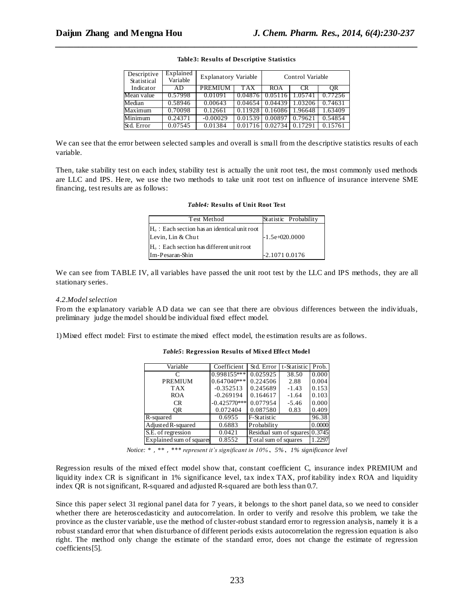| Descriptive<br>Statistical | Explained<br>Variable | <b>Explanatory Variable</b> |            | Control Variable |         |                      |
|----------------------------|-----------------------|-----------------------------|------------|------------------|---------|----------------------|
| Indicator                  | AD                    | PREMIUM                     | <b>TAX</b> | <b>ROA</b>       | CR      | <b>OR</b>            |
| Mean value                 | 0.57998               | 0.01091                     | 0.04876    |                  | 1.05741 | 0.77256              |
| Median                     | 0.58946               | 0.00643                     | 0.04654    | 0.04439          | 1.03206 | $0.746\overline{31}$ |
| Maximum                    | 0.70098               | 0.12661                     | 0.11928    | 0.16086          | 1.96648 | 1.63409              |
| Minimum                    | 0.24371               | $-0.00029$                  | 0.01539    | 0.00897          | 0.79621 | 0.54854              |
| Std. Error                 | 0.07545               | 0.01384                     | 0.01716    | 0.02734          | 0.17291 | 0.15761              |

## *\_\_\_\_\_\_\_\_\_\_\_\_\_\_\_\_\_\_\_\_\_\_\_\_\_\_\_\_\_\_\_\_\_\_\_\_\_\_\_\_\_\_\_\_\_\_\_\_\_\_\_\_\_\_\_\_\_\_\_\_\_\_\_\_\_\_\_\_\_\_\_\_\_\_\_\_\_\_* **Table3: Results of Descriptive Statistics**

We can see that the error between selected samples and overall is small from the descriptive statistics results of each variable.

Then, take stability test on each index, stability test is actually the unit root test, the most commonly used methods are LLC and IPS. Here, we use the two methods to take unit root test on influence of insurance intervene SME financing, test results are as follows:

| <i>Table4:</i> Results of Unit Root Test |  |
|------------------------------------------|--|
|------------------------------------------|--|

| Test Method                                                         | Statistic Probability |
|---------------------------------------------------------------------|-----------------------|
| $Ho$ : Each section has an identical unit root<br>Levin, Lin & Chut | $-1.5e + 020.0000$    |
| H <sub>o</sub> : Each section has different unit root               |                       |
| Im-Pesaran-Shin                                                     | -2.1071 0.0176        |

We can see from TABLE IV, all variables have passed the unit root test by the LLC and IPS methods, they are all stationary series.

#### *4.2.Model selection*

From the explanatory variable AD data we can see that there are obvious differences between the individuals, preliminary judge the model should be individual fixed effect model.

1)Mixed effect model: First to estimate the mixed effect model, the estimation results are as follows.

| Variable                 | Coefficient         | Std. Error                     | t-Statistic | Prob.  |
|--------------------------|---------------------|--------------------------------|-------------|--------|
|                          | $0.998155***$       | 0.025925                       | 38.50       | 0.000  |
| <b>PREMIUM</b>           | $0.647040***$       | 0.224506                       | 2.88        | 0.004  |
| <b>TAX</b>               | $-0.352513$         | 0.245689                       | $-1.43$     | 0.153  |
| <b>ROA</b>               | $-0.269194$         | 0.164617                       | $-1.64$     | 0.103  |
| <b>CR</b>                | $-0.425770***$      | 0.077954                       | $-5.46$     | 0.000  |
| 0R                       | 0.072404            | 0.087580                       | 0.83        | 0.409  |
| R-squared                | 0.6955              | F-Statistic                    |             | 96.38  |
| Adjusted R-squared       | 0.6883              | Probability                    |             | 0.0000 |
| S.E. of regression       | 0.0421              | Residual sum of squares 0.3745 |             |        |
| Explained sum of squares | $\overline{0.8552}$ | Total sum of squares           |             | .2297  |

#### *Table5***: Regression Results of Mixed Effect Model**

*Notice: \**,*\*\**,*\*\*\* represent it's significant in 10%*、*5%*、*1% significance level*

Regression results of the mixed effect model show that, constant coefficient C, insurance index PREMIUM and liquidity index CR is significant in 1% significance level, tax index TAX, profitability index ROA and liquidity index QR is not significant, R-squared and adjusted R-squared are both less than 0.7.

Since this paper select 31 regional panel data for 7 years, it belongs to the short panel data, so we need to consider whether there are heteroscedasticity and autocorrelation. In order to verify and resolve this problem, we take the province as the cluster variable, use the method of cluster-robust standard error to regression analysis, namely it is a robust standard error that when disturbance of different periods exists autocorrelation the regression equation is also right. The method only change the estimate of the standard error, does not change the estimate of regression coefficients[5].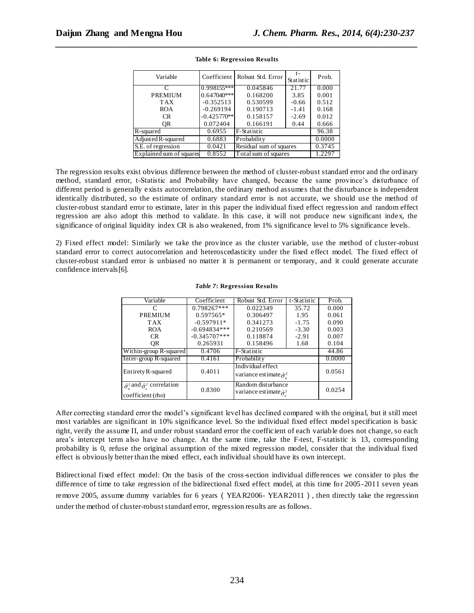| Variable                 | Coefficient   | Robust Std. Error       | $t -$<br>Statistic | Prob.  |
|--------------------------|---------------|-------------------------|--------------------|--------|
| C                        | $0.998155***$ | 0.045846                | 21.77              | 0.000  |
| <b>PREMIUM</b>           | $0.647040***$ | 0.168200                | 3.85               | 0.001  |
| <b>TAX</b>               | $-0.352513$   | 0.530599                | $-0.66$            | 0.512  |
| <b>ROA</b>               | $-0.269194$   | 0.190713                | $-1.41$            | 0.168  |
| CR.                      | $-0.425770**$ | 0.158157                | $-2.69$            | 0.012  |
| 0R                       | 0.072404      | 0.166191                | 0.44               | 0.666  |
| R-squared                | 0.6955        | F-Statistic             |                    | 96.38  |
| Adjusted R-squared       | 0.6883        | Probability             |                    | 0.0000 |
| S.E. of regression       | 0.0421        | Residual sum of squares |                    | 0.3745 |
| Explained sum of squares | 0.8552        | Total sum of squares    |                    | 1.2297 |

#### **Table 6: Regression Results**

*\_\_\_\_\_\_\_\_\_\_\_\_\_\_\_\_\_\_\_\_\_\_\_\_\_\_\_\_\_\_\_\_\_\_\_\_\_\_\_\_\_\_\_\_\_\_\_\_\_\_\_\_\_\_\_\_\_\_\_\_\_\_\_\_\_\_\_\_\_\_\_\_\_\_\_\_\_\_*

The regression results exist obvious difference between the method of cluster-robust standard error and the ordinary method, standard error, t-Statistic and Probability have changed, because the same province's disturbance of different period is generally exists autocorrelation, the ordinary method assumes that the disturbance is independent identically distributed, so the estimate of ordinary standard error is not accurate, we should use the method of cluster-robust standard error to estimate, later in this paper the individual fixed effect regression and random effect regression are also adopt this method to validate. In this case, it will not produce new significant index, the significance of original liquidity index CR is also weakened, from 1% significance level to 5% significance levels.

2) Fixed effect model: Similarly we take the province as the cluster variable, use the method of cluster-robust standard error to correct autocorrelation and heteroscedasticity under the fixed effect model. The fixed effect of cluster-robust standard error is unbiased no matter it is permanent or temporary, and it could generate accurate confidence intervals[6].

| Variable                                                                           | Coefficient    | Robust Std. Error                                        | t-Statistic | Prob.  |
|------------------------------------------------------------------------------------|----------------|----------------------------------------------------------|-------------|--------|
| C                                                                                  | $0.798267***$  | 0.022349                                                 | 35.72       | 0.000  |
| <b>PREMIUM</b>                                                                     | $0.597565*$    | 0.306497                                                 | 1.95        | 0.061  |
| <b>TAX</b>                                                                         | $-0.597911*$   | 0.341273                                                 | $-1.75$     | 0.090  |
| <b>ROA</b>                                                                         | $-0.694834***$ | 0.210569                                                 | $-3.30$     | 0.003  |
| CR.                                                                                | $-0.345707***$ | 0.118874                                                 | $-2.91$     | 0.007  |
| <b>OR</b>                                                                          | 0.265931       | 0.158496                                                 | 1.68        | 0.104  |
| Within-group R-squared                                                             | 0.4706         | F-Statistic                                              |             | 44.86  |
| Inter-group R-squared                                                              | 0.4161         | Probability                                              |             | 0.0000 |
| Entirety R-squared                                                                 | 0.4011         | Individual effect<br>variance estimate $\hat{\sigma}^2$  |             | 0.0561 |
| $\hat{\sigma}_{u}^{2}$ and $\hat{\sigma}_{u}^{2}$ correlation<br>coefficient (rho) | 0.8300         | Random disturbance<br>variance estimate $\hat{\sigma}^2$ |             | 0.0254 |

#### *Table 7***: Regression Results**

After correcting standard error the model's significant level has declined compared with the original, but it still meet most variables are significant in 10% significance level. So the individual fixed effect model specification is basic right, verify the assume II, and under robust standard error the coefficient of each variable does not change, so each area's intercept term also have no change. At the same time, take the F-test, F-statistic is 13, corresponding probability is 0, refuse the original assumption of the mixed regression model, consider that the individual fixed effect is obviously better than the mixed effect, each individual should have its own intercept.

Bidirectional fixed effect model: On the basis of the cross-section individual differences we consider to plus the difference of time to take regression of the bidirectional fixed effect model, at this time for 2005 -2011 seven years remove 2005, assume dummy variables for 6 years (YEAR2006-YEAR2011), then directly take the regression under the method of cluster-robust standard error, regression results are as follows.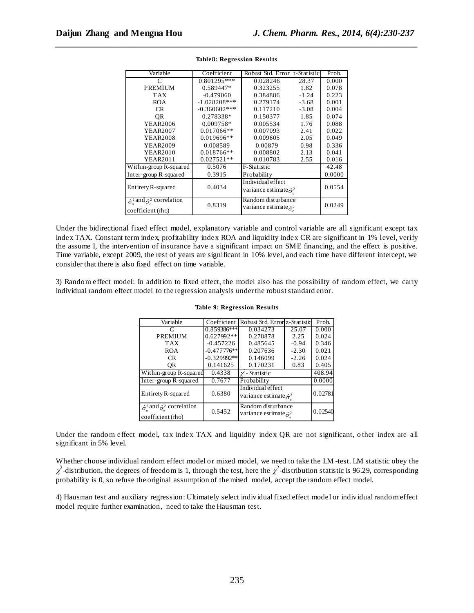| Variable                                                               | Coefficient    | Robust Std. Error                                        | t-Statistic | Prob.  |
|------------------------------------------------------------------------|----------------|----------------------------------------------------------|-------------|--------|
| C                                                                      | $0.801295***$  | 0.028246                                                 | 28.37       | 0.000  |
| <b>PREMIUM</b>                                                         | 0.589447*      | 0.323255                                                 | 1.82        | 0.078  |
| TAX                                                                    | $-0.479060$    | 0.384886                                                 | $-1.24$     | 0.223  |
| <b>ROA</b>                                                             | $-1.028208***$ | 0.279174                                                 | $-3.68$     | 0.001  |
| <b>CR</b>                                                              | $-0.360602***$ | 0.117210                                                 | $-3.08$     | 0.004  |
| 0R                                                                     | 0.278338*      | 0.150377                                                 | 1.85        | 0.074  |
| <b>YEAR2006</b>                                                        | $0.009758*$    | 0.005534                                                 | 1.76        | 0.088  |
| YEAR2007                                                               | $0.017066**$   | 0.007093                                                 | 2.41        | 0.022  |
| YEAR2008                                                               | $0.019696**$   | 0.009605                                                 | 2.05        | 0.049  |
| <b>YEAR2009</b>                                                        | 0.008589       | 0.00879                                                  | 0.98        | 0.336  |
| YEAR2010                                                               | $0.018766**$   | 0.008802                                                 | 2.13        | 0.041  |
| <b>YEAR2011</b>                                                        | $0.027521**$   | 0.010783                                                 | 2.55        | 0.016  |
| Within-group R-squared                                                 | 0.5076         | F-Statistic                                              |             | 42.48  |
| Inter-group R-squared                                                  | 0.3915         | Probability                                              |             | 0.0000 |
| Entirety R-squared                                                     | 0.4034         | Individual effect<br>variance estimate $\hat{\sigma}^2$  |             | 0.0554 |
| $\hat{\sigma}^2$ and $\hat{\sigma}^2$ correlation<br>coefficient (rho) | 0.8319         | Random disturbance<br>variance estimate $\hat{\sigma}^2$ |             | 0.0249 |

## *\_\_\_\_\_\_\_\_\_\_\_\_\_\_\_\_\_\_\_\_\_\_\_\_\_\_\_\_\_\_\_\_\_\_\_\_\_\_\_\_\_\_\_\_\_\_\_\_\_\_\_\_\_\_\_\_\_\_\_\_\_\_\_\_\_\_\_\_\_\_\_\_\_\_\_\_\_\_* **Table8: Regression Results**

Under the bidirectional fixed effect model, explanatory variable and control variable are all significant except tax index TAX. Constant term index, profitability index ROA and liquidity index CR are significant in 1% level, verify the assume I, the intervention of insurance have a significant impact on SME financing, and the effect is positive. Time variable, except 2009, the rest of years are significant in 10% level, and each time have different intercept, we consider that there is also fixed effect on time variable.

3) Random effect model: In addition to fixed effect, the model also has the possibility of random effect, we carry individual random effect model to the regression analysis under the robust standard error.

| Variable                                          | Coefficient   | Robust Std. Error z-Statistic      |         | Prob.   |
|---------------------------------------------------|---------------|------------------------------------|---------|---------|
| $\mathcal{C}$                                     | 0.859386***   | 0.034273                           | 25.07   | 0.000   |
| <b>PREMIUM</b>                                    | $0.627992**$  | 0.278878                           | 2.25    | 0.024   |
| <b>TAX</b>                                        | $-0.457226$   | 0.485645                           | $-0.94$ | 0.346   |
| <b>ROA</b>                                        | $-0.477776**$ | 0.207636                           | $-2.30$ | 0.021   |
| CR.                                               | $-0.329992**$ | 0.146099                           | $-2.26$ | 0.024   |
| 0R                                                | 0.141625      | 0.170231                           | 0.83    | 0.405   |
| Within-group R-squared                            | 0.4338        | $\chi^2$ - Statistic               |         | 408.94  |
| Inter-group R-squared                             | 0.7677        | Probability                        |         | 0.0000  |
|                                                   |               | Individual effect                  |         |         |
| Entirety R-squared                                | 0.6380        | variance estimate $\hat{\sigma}^2$ |         | 0.02781 |
| $\hat{\sigma}^2$ and $\hat{\sigma}^2$ correlation |               | Random disturbance                 |         |         |
| coefficient (rho)                                 | 0.5452        | variance estimate $\hat{\sigma}^2$ |         | 0.02540 |

#### **Table 9: Regression Results**

Under the random effect model, tax index TAX and liquidity index QR are not significant, o ther index are all significant in 5% level.

Whether choose individual random effect model or mixed model, we need to take the LM -test. LM statistic obey the  $\chi^2$ -distribution, the degrees of freedom is 1, through the test, here the  $\chi^2$ -distribution statistic is 96.29, corresponding probability is 0, so refuse the original assumption of the mixed model, accept the random effect model.

4) Hausman test and auxiliary regression: Ultimately select individual fixed effect model or individual random effect model require further examination, need to take the Hausman test.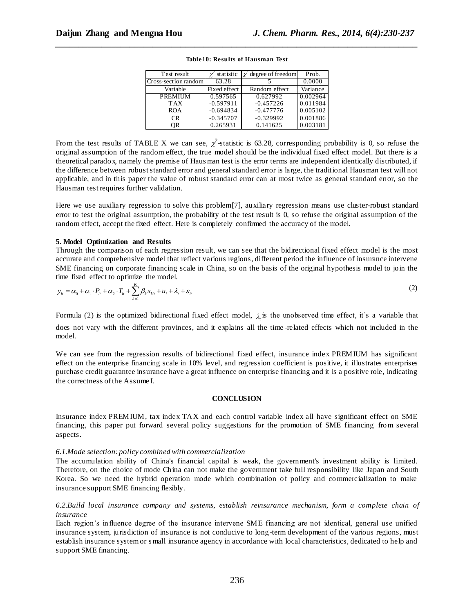| Test result          | $\nu$ statistic | $\chi^2$ degree of freedom | Prob.    |
|----------------------|-----------------|----------------------------|----------|
| Cross-section random | 63.28           |                            | 0.0000   |
| Variable             | Fixed effect    | Random effect              | Variance |
| <b>PREMIUM</b>       | 0.597565        | 0.627992                   | 0.002964 |
| <b>TAX</b>           | $-0.597911$     | $-0.457226$                | 0.011984 |
| <b>ROA</b>           | $-0.694834$     | $-0.477776$                | 0.005102 |
| CR.                  | $-0.345707$     | $-0.329992$                | 0.001886 |
| OR                   | 0.265931        | 0.141625                   | 0.003181 |

#### **Table10: Results of Hausman Test**

*\_\_\_\_\_\_\_\_\_\_\_\_\_\_\_\_\_\_\_\_\_\_\_\_\_\_\_\_\_\_\_\_\_\_\_\_\_\_\_\_\_\_\_\_\_\_\_\_\_\_\_\_\_\_\_\_\_\_\_\_\_\_\_\_\_\_\_\_\_\_\_\_\_\_\_\_\_\_*

From the test results of TABLE X we can see,  $\chi^2$ -statistic is 63.28, corresponding probability is 0, so refuse the original assumption of the random effect, the true model should be the individual fixed effect model. But there is a theoretical paradox, namely the premise of Haus man test is the error terms are independent identically distributed, if the difference between robust standard error and general standard error is large, the traditional Hausman test will not applicable, and in this paper the value of robust standard error can at most twice as general standard error, so the Hausman test requires further validation.

Here we use auxiliary regression to solve this problem[7], auxiliary regression means use cluster-robust standard error to test the original assumption, the probability of the test result is 0, so refuse the original assumption of the random effect, accept the fixed effect. Here is completely confirmed the accuracy of the model.

## **5. Model Optimization and Results**

Through the comparison of each regression result, we can see that the bidirectional fixed effect model is the most accurate and comprehensive model that reflect various regions, different period the influence of insurance intervene SME financing on corporate financing scale in China, so on the basis of the original hypothesis model to join the

time fixed effect to optimize the model.  
\n
$$
y_{ii} = \alpha_0 + \alpha_1 \cdot P_{ii} + \alpha_2 \cdot T_{ii} + \sum_{k=1}^{K} \beta_k x_{ki} + u_i + \lambda_i + \varepsilon_{ii}
$$
\n(2)

Formula (2) is the optimized bidirectional fixed effect model,  $\lambda_i$  is the unobserved time effect, it's a variable that does not vary with the different provinces, and it explains all the time -related effects which not included in the model.

We can see from the regression results of bidirectional fixed effect, insurance index PREMIUM has significant effect on the enterprise financing scale in 10% level, and regression coefficient is positive, it illustrates enterprises purchase credit guarantee insurance have a great influence on enterprise financing and it is a positive role, indicating the correctness of the Assume I.

### **CONCLUSION**

Insurance index PREMIUM, tax index TAX and each control variable index all have significant effect on SME financing, this paper put forward several policy suggestions for the promotion of SME financing from several aspects.

#### *6.1.Mode selection: policy combined with commercialization*

The accumulation ability of China's financial capital is weak, the government's investment ability is limited. Therefore, on the choice of mode China can not make the government take full responsibility like Japan and South Korea. So we need the hybrid operation mode which combination of policy and commercialization to make insurance support SME financing flexibly.

## *6.2.Build local insurance company and systems, establish reinsurance mechanism, form a complete chain of insurance*

Each region's influence degree of the insurance intervene SME financing are not identical, general use unified insurance system, jurisdiction of insurance is not conducive to long-term development of the various regions, must establish insurance system or s mall insurance agency in accordance with local characteristics, dedicated to help and support SME financing.